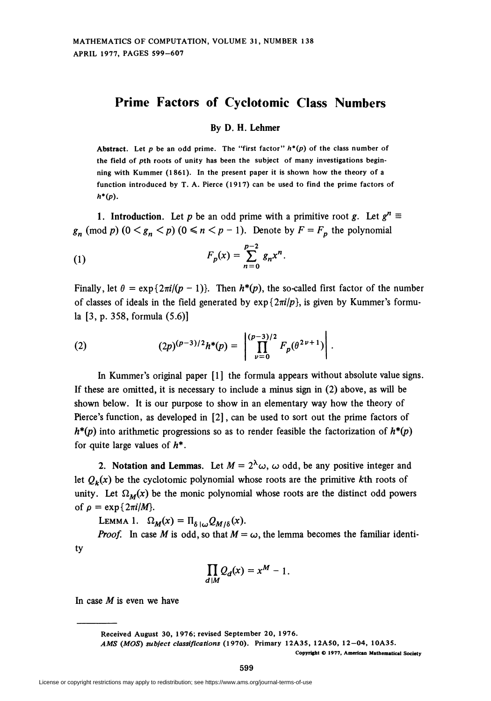## Prime Factors of Cyclotomic Class Numbers

## By D. H. Lehmer

Abstract. Let p be an odd prime. The "first factor"  $h^*(p)$  of the class number of the field of pth roots of unity has been the subject of many investigations beginning with Kummer (1861). In the present paper it is shown how the theory of a function introduced by T. A. Pierce (1917) can be used to find the prime factors of  $h^*(p)$ .

1. Introduction. Let p be an odd prime with a primitive root g. Let  $g^n \equiv$  $g_n \pmod{p}$   $(0 \le g_n \le p)$   $(0 \le n \le p-1)$ . Denote by  $F = F_p$  the polynomial

(1) 
$$
F_p(x) = \sum_{n=0}^{p-2} g_n x^n.
$$

Finally, let  $\theta = \exp\{2\pi i/(p-1)\}\$ . Then  $h^*(p)$ , the so-called first factor of the number of classes of ideals in the field generated by  $exp\{2\pi i/p\}$ , is given by Kummer's formula [3, p. 358, formula (5.6)]

(2) 
$$
(2p)^{(p-3)/2}h^*(p) = \left| \prod_{\nu=0}^{(p-3)/2} F_p(\theta^{2\nu+1}) \right|.
$$

In Kummer's original paper [1] the formula appears without absolute value signs. If these are omitted, it is necessary to include a minus sign in (2) above, as will be shown below. It is our purpose to show in an elementary way how the theory of Pierce's function, as developed in [2], can be used to sort out the prime factors of  $h^{*}(p)$  into arithmetic progressions so as to render feasible the factorization of  $h^{*}(p)$ for quite large values of  $h^*$ .

2. Notation and Lemmas. Let  $M = 2^{\lambda} \omega$ ,  $\omega$  odd, be any positive integer and let  $Q_k(x)$  be the cyclotomic polynomial whose roots are the primitive kth roots of unity. Let  $\Omega_M(x)$  be the monic polynomial whose roots are the distinct odd powers of  $\rho = \exp\{2\pi i/M\}$ .

LEMMA 1.  $\Omega_M(x) = \Pi_{\delta/\omega} Q_{M/\delta}(x)$ .

*Proof.* In case M is odd, so that  $M = \omega$ , the lemma becomes the familiar identity

$$
\prod_{d|M} Q_d(x) = x^M - 1.
$$

In case  $M$  is even we have

Received August 30, 1976; revised September 20, 1976.

AMS (MOS) subject classifications (1970). Primary 12A35, 12A50, 12-04, 10A3S.

Copyright © 1977, American Mathematical Society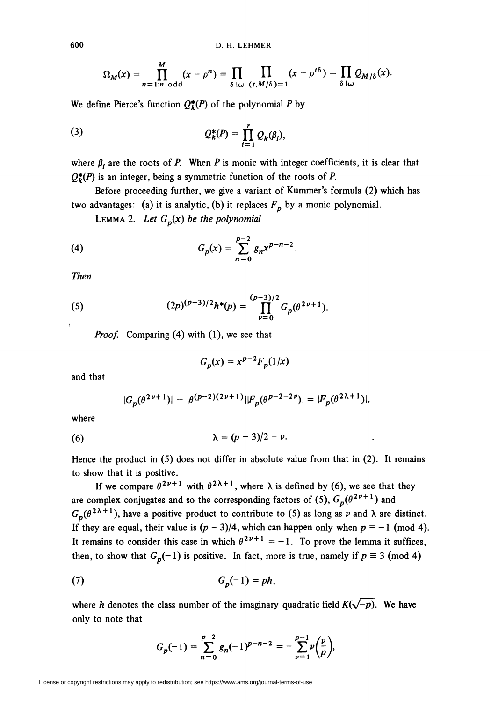$$
\Omega_M(x) = \prod_{n=1;n \text{ odd}}^M (x - \rho^n) = \prod_{\delta \mid \omega} \prod_{(t,M/\delta) = 1} (x - \rho^{t\delta}) = \prod_{\delta \mid \omega} Q_{M/\delta}(x).
$$

We define Pierce's function  $Q_k^*(P)$  of the polynomial P by

(3) 
$$
Q_k^*(P) = \prod_{i=1}^r Q_k(\beta_i),
$$

where  $\beta_i$  are the roots of P. When P is monic with integer coefficients, it is clear that  $Q_k^*(P)$  is an integer, being a symmetric function of the roots of P.

Before proceeding further, we give a variant of Kummer's formula (2) which has two advantages: (a) it is analytic, (b) it replaces  $F_p$  by a monic polynomial.

LEMMA 2. Let  $G_p(x)$  be the polynomial

(4) 
$$
G_p(x) = \sum_{n=0}^{p-2} g_n x^{p-n-2}.
$$

Then

(5) 
$$
(2p)^{(p-3)/2}h^{*}(p) = \prod_{\nu=0}^{(p-3)/2} G_{p}(\theta^{2\nu+1}).
$$

Proof. Comparing (4) with (1), we see that

$$
G_p(x) = x^{p-2} F_p(1/x)
$$

and that

$$
|G_p(\theta^{2\nu+1})| = |\theta^{(p-2)(2\nu+1)}||F_p(\theta^{p-2-2\nu})| = |F_p(\theta^{2\lambda+1})|,
$$

where

$$
\lambda = (p-3)/2 - \nu.
$$

Hence the product in (5) does not differ in absolute value from that in (2). It remains to show that it is positive.

If we compare  $\theta^{2\nu+1}$  with  $\theta^{2\lambda+1}$ , where  $\lambda$  is defined by (6), we see that they are complex conjugates and so the corresponding factors of (5),  $G_p(\theta^{2\nu+1})$  and  $G_n(\theta^{2\lambda+1})$ , have a positive product to contribute to (5) as long as  $\nu$  and  $\lambda$  are distinct. If they are equal, their value is  $(p - 3)/4$ , which can happen only when  $p \equiv -1 \pmod{4}$ . It remains to consider this case in which  $\theta^{2\nu+1} = -1$ . To prove the lemma it suffices, then, to show that  $G_p(-1)$  is positive. In fact, more is true, namely if  $p \equiv 3 \pmod{4}$ 

$$
(7) \tGp(-1) = ph
$$

where h denotes the class number of the imaginary quadratic field  $K(\sqrt{-p})$ . We have only to note that

$$
G_p(-1) = \sum_{n=0}^{p-2} g_n(-1)^{p-n-2} = -\sum_{\nu=1}^{p-1} \nu\left(\frac{\nu}{p}\right),
$$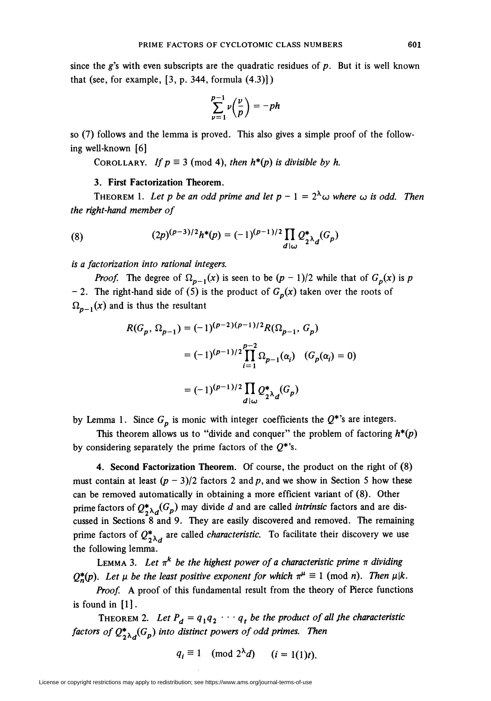since the  $g$ 's with even subscripts are the quadratic residues of  $p$ . But it is well known that (see, for example,  $[3, p. 344, \text{formula } (4.3)]$ )

$$
\sum_{\nu=1}^{p-1} \nu\left(\frac{\nu}{p}\right) = -ph
$$

so (7) follows and the lemma is proved. This also gives a simple proof of the following well-known [6]

COROLLARY. If  $p \equiv 3 \pmod{4}$ , then  $h^*(p)$  is divisible by h.

## 3. First Factorization Theorem.

THEOREM 1. Let p be an odd prime and let  $p - 1 = 2^{\lambda} \omega$  where  $\omega$  is odd. Then the right-hand member of

(8) 
$$
(2p)^{(p-3)/2}h^{*}(p) = (-1)^{(p-1)/2} \prod_{d|\omega} Q_{2^{\lambda}d}^{*}(G_{p})
$$

is a factorization into rational integers.

*Proof.* The degree of  $\Omega_{p-1}(x)$  is seen to be  $(p-1)/2$  while that of  $G_p(x)$  is p - 2. The right-hand side of (5) is the product of  $G_p(x)$  taken over the roots of  $\Omega_{n-1}(x)$  and is thus the resultant

$$
R(G_p, \Omega_{p-1}) = (-1)^{(p-2)(p-1)/2} R(\Omega_{p-1}, G_p)
$$
  
=  $(-1)^{(p-1)/2} \prod_{i=1}^{p-2} \Omega_{p-1}(\alpha_i) \quad (G_p(\alpha_i) = 0)$   
=  $(-1)^{(p-1)/2} \prod_{d|\omega} Q_{2\lambda_d}^*(G_p)$ 

by Lemma 1. Since  $G_p$  is monic with integer coefficients the  $Q^*$ 's are integers.

This theorem allows us to "divide and conquer" the problem of factoring  $h^*(p)$ by considering separately the prime factors of the  $Q^*$ 's.

4. Second Factorization Theorem. Of course, the product on the right of (8) must contain at least  $(p - 3)/2$  factors 2 and p, and we show in Section 5 how these can be removed automatically in obtaining a more efficient variant of (8). Other prime factors of  $Q_{2\lambda d}^*(G_p)$  may divide d and are called *intrinsic* factors and are discussed in Sections 8 and 9. They are easily discovered and removed. The remaining prime factors of  $Q_{2\lambda_d}^*$  are called *characteristic*. To facilitate their discovery we use the following lemma.

LEMMA 3. Let  $\pi^k$  be the highest power of a characteristic prime  $\pi$  dividing  $Q_{n}^{*}(p)$ . Let  $\mu$  be the least positive exponent for which  $\pi^{\mu} \equiv 1 \pmod{n}$ . Then  $\mu | k$ .

Proof. A proof of this fundamental result from the theory of Pierce functions is found in [1].

THEOREM 2. Let  $P_d = q_1q_2 \cdots q_t$  be the product of all the characteristic factors of  $Q_{2\lambda d}^*(G_p)$  into distinct powers of odd primes. Then

 $q_i \equiv 1 \pmod{2^{\lambda} d} \qquad (i = 1(1)t).$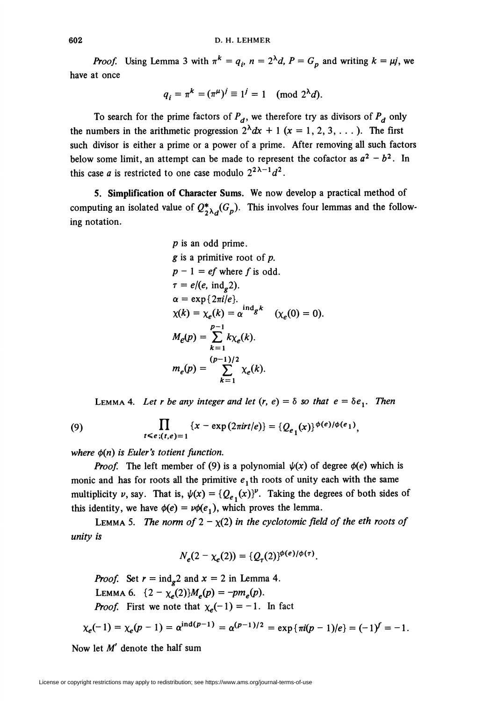*Proof.* Using Lemma 3 with  $\pi^{k} = q_i$ ,  $n = 2^{\lambda}d$ ,  $P = G_p$  and writing  $k = \mu j$ , we have at once

$$
q_i = \pi^k = (\pi^{\mu})^j \equiv 1^j = 1 \pmod{2^{\lambda} d}.
$$

To search for the prime factors of  $P_d$ , we therefore try as divisors of  $P_d$  only the numbers in the arithmetic progression  $2^{\lambda}dx + 1$  ( $x = 1, 2, 3, ...$ ). The first such divisor is either a prime or a power of a prime. After removing all such factors below some limit, an attempt can be made to represent the cofactor as  $a^2 - b^2$ . In this case *a* is restricted to one case modulo  $2^{2\lambda - 1}d^2$ .

5. Simplification of Character Sums. We now develop a practical method of computing an isolated value of  $Q_{2\lambda d}^*(G_p)$ . This involves four lemmas and the following notation.

*p* is an odd prime.  
\n*g* is a primitive root of *p*.  
\n
$$
p - 1 = ef
$$
 where *f* is odd.  
\n $\tau = e/(e, \text{ ind}_g 2)$ .  
\n $\alpha = \exp\{2\pi i/e\}$ .  
\n $\chi(k) = \chi_e(k) = \alpha^{\text{ ind}_g k} \quad (\chi_e(0) = 0)$ .  
\n $M_e(p) = \sum_{k=1}^{p-1} k \chi_e(k)$ .  
\n $m_e(p) = \sum_{k=1}^{(p-1)/2} \chi_e(k)$ .

LEMMA 4. Let r be any integer and let  $(r, e) = \delta$  so that  $e = \delta e_1$ . Then

(9) 
$$
\prod_{t \leq e; (t,e)=1} \{x - \exp(2\pi i r t/e)\} = \{Q_{e_1}(x)\}^{\phi(e)/\phi(e_1)},
$$

where  $\phi(n)$  is Euler's totient function.

**Proof.** The left member of (9) is a polynomial  $\psi(x)$  of degree  $\phi(e)$  which is monic and has for roots all the primitive  $e_1$ th roots of unity each with the same multiplicity v, say. That is,  $\psi(x) = {Q_{e_1}(x)}^p$ . Taking the degrees of both sides of this identity, we have  $\phi(e) = v\phi(e_1)$ , which proves the lemma.

LEMMA 5. The norm of  $2 - \chi(2)$  in the cyclotomic field of the eth roots of unity is

$$
N_e(2-\chi_e(2)) = \{Q_\tau(2)\}^{\phi(e)/\phi(\tau)}.
$$

*Proof.* Set  $r = \text{ind}_{g} 2$  and  $x = 2$  in Lemma 4. LEMMA 6. { $2 - \chi_e(2)$ } $M_e(p) = -pm_e(p)$ . **Proof.** First we note that  $\chi_e(-1) = -1$ . In fact

$$
\chi_e(-1) = \chi_e(p-1) = \alpha^{\text{ind}(p-1)} = \alpha^{(p-1)/2} = \exp{\pi i (p-1)/e} = (-1)^f = -1
$$

Now let  $M'$  denote the half sum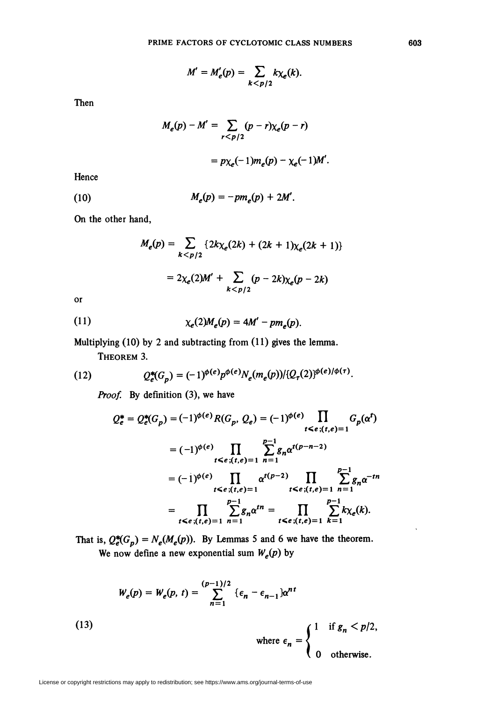$$
M'=M'_{e}(p)=\sum_{k
$$

Then

$$
M_e(p) - M' = \sum_{r < p/2} (p - r) \chi_e(p - r)
$$
\n
$$
= p \chi_e(-1) m_e(p) - \chi_e(-1) M'.
$$

Hence

(10) 
$$
M_e(p) = -pm_e(p) + 2M'.
$$

On the other hand,

$$
M_e(p) = \sum_{k < p/2} \{ 2k \chi_e(2k) + (2k+1) \chi_e(2k+1) \}
$$
\n
$$
= 2 \chi_e(2) M' + \sum_{k < p/2} (p - 2k) \chi_e(p - 2k)
$$

or

$$
\chi_e(2)M_e(p)=4M'-pm_e(p).
$$

Multiplying (10) by 2 and subtracting from (11) gives the lemma.

Theorem 3.

(12) 
$$
Q_e^*(G_p) = (-1)^{\phi(e)} p^{\phi(e)} N_e(m_e(p)) / (Q_\tau(2))^{\phi(e)/\phi(\tau)}.
$$

Proof. By definition (3), we have

$$
Q_e^* = Q_e^*(G_p) = (-1)^{\phi(e)} R(G_p, Q_e) = (-1)^{\phi(e)} \prod_{t \le e; (t,e)=1} G_p(\alpha^t)
$$
  
\n
$$
= (-1)^{\phi(e)} \prod_{t \le e; (t,e)=1} \sum_{n=1}^{p-1} g_n \alpha^{t(p-n-2)}
$$
  
\n
$$
= (-1)^{\phi(e)} \prod_{t \le e; (t,e)=1} \alpha^{t(p-2)} \prod_{t \le e; (t,e)=1} \sum_{n=1}^{p-1} g_n \alpha^{-tn}
$$
  
\n
$$
= \prod_{t \le e; (t,e)=1} \sum_{n=1}^{p-1} g_n \alpha^{tn} = \prod_{t \le e; (t,e)=1} \sum_{k=1}^{p-1} k \chi_e(k).
$$

That is,  $Q_e^*(G_p) = N_e(M_e(p))$ . By Lemmas 5 and 6 we have the theorem. We now define a new exponential sum  $W_e(p)$  by

(13)  
\n
$$
W_e(p) = W_e(p, t) = \sum_{n=1}^{(p-1)/2} {\epsilon_n - \epsilon_{n-1} \delta^{nt}}
$$
\nwhere  $\epsilon_n = \begin{cases} 1 & \text{if } g_n < p/2, \\ 0 & \text{otherwise.} \end{cases}$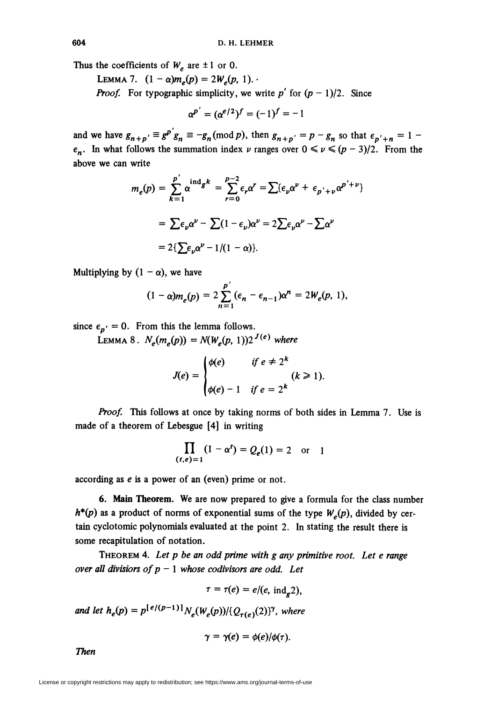Thus the coefficients of  $W_e$  are  $\pm 1$  or 0.

LEMMA 7.  $(1 - \alpha)m_e(p) = 2W_e(p, 1)$ .

**Proof.** For typographic simplicity, we write p' for  $(p - 1)/2$ . Since

$$
\alpha^{p'} = (\alpha^{e/2})^f = (-1)^f = -1
$$

and we have  $g_{n+p'} \equiv g^{p'} g_n \equiv -g_n \pmod{p}$ , then  $g_{n+p'} = p - g_n$  so that  $\epsilon_{p'+n} = 1 - g_n$  $\epsilon_n$ . In what follows the summation index v ranges over  $0 \le v \le (p-3)/2$ . From the above we can write

$$
m_e(p) = \sum_{k=1}^{p'} \alpha^{ind} s^k = \sum_{r=0}^{p-2} \epsilon_r \alpha^r = \sum \{\epsilon_p \alpha^p + \epsilon_{p'+p} \alpha^{p'+p}\}
$$

$$
= \sum \epsilon_p \alpha^p - \sum (1 - \epsilon_p) \alpha^p = 2 \sum \epsilon_p \alpha^p - \sum \alpha^p
$$

$$
= 2 \{\sum \epsilon_p \alpha^p - 1/(1 - \alpha)\}.
$$

Multiplying by  $(1 - \alpha)$ , we have

$$
(1-\alpha)m_e(p) = 2\sum_{n=1}^p (\epsilon_n - \epsilon_{n-1})\alpha^n = 2W_e(p, 1),
$$

since  $\epsilon_{p'} = 0$ . From this the lemma follows.

LEMMA 8.  $N_e(m_e(p)) = N(W_e(p, 1))2^{J(e)}$  where

$$
J(e) = \begin{cases} \phi(e) & \text{if } e \neq 2^k \\ \phi(e) - 1 & \text{if } e = 2^k \end{cases} (k \ge 1).
$$

Proof. This follows at once by taking norms of both sides in Lemma 7. Use is made of a theorem of Lebesgue [4] in writing

$$
\prod_{(t,e)=1} (1-\alpha^t) = Q_e(1) = 2 \quad \text{or} \quad 1
$$

according as e is a power of an (even) prime or not.

6. Main Theorem. We are now prepared to give a formula for the class number  $h^{*}(p)$  as a product of norms of exponential sums of the type  $W_{e}(p)$ , divided by certain cyclotomic polynomials evaluated at the point 2. In stating the result there is some recapitulation of notation.

THEOREM 4. Let  $p$  be an odd prime with  $g$  any primitive root. Let  $e$  range over all divisiors of  $p - 1$  whose codivisors are odd. Let

$$
\tau = \tau(e) = e/(e, \text{ ind}_{\sigma} 2),
$$

and let  $h_e(p) = p^{\lfloor e/(p-1)\rfloor} N_e(W_e(p))/\{Q_{\tau(e)}(2)\}^{\gamma}$ , where

$$
\gamma = \gamma(e) = \phi(e)/\phi(\tau).
$$

**Then**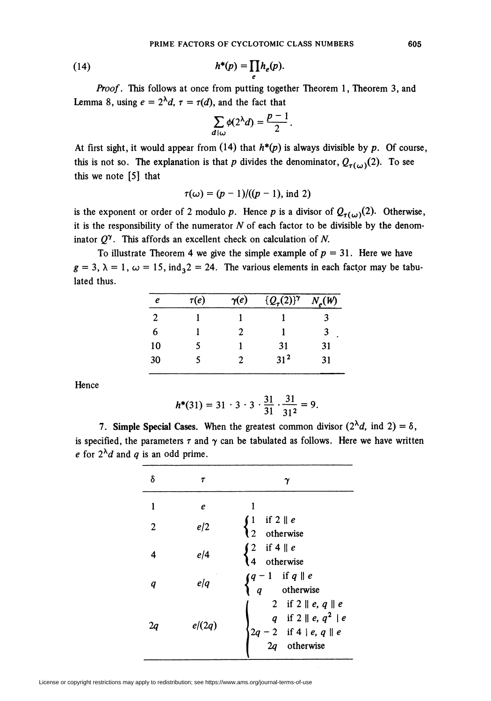(14) 
$$
h^*(p) = \prod_e h_e(p).
$$

Proof. This follows at once from putting together Theorem 1, Theorem 3, and Lemma 8, using  $e = 2^{\lambda}d$ ,  $\tau = \tau(d)$ , and the fact that

$$
\sum_{d|\omega} \phi(2^{\lambda}d) = \frac{p-1}{2}
$$

At first sight, it would appear from  $(14)$  that  $h^*(p)$  is always divisible by p. Of course, this is not so. The explanation is that p divides the denominator,  $Q_{\tau(\omega)}(2)$ . To see this we note [5] that

$$
\tau(\omega) = (p-1)/((p-1), \text{ ind } 2)
$$

is the exponent or order of 2 modulo p. Hence p is a divisor of  $Q_{\tau(\omega)}(2)$ . Otherwise, it is the responsibility of the numerator  $N$  of each factor to be divisible by the denominator  $Q^{\gamma}$ . This affords an excellent check on calculation of N.

To illustrate Theorem 4 we give the simple example of  $p = 31$ . Here we have  $g = 3$ ,  $\lambda = 1$ ,  $\omega = 15$ ,  $\text{ind}_3 2 = 24$ . The various elements in each factor may be tabulated thus.

| e  | $\tau(e)$ | $\gamma(e)$ | $\{Q_{\tau}(2)\}^{\gamma}$ | $N_e(W)$ |
|----|-----------|-------------|----------------------------|----------|
| 2  |           |             |                            | ર        |
| 6  |           | 2           |                            | 3        |
| 10 | 5         |             | 31                         | 31       |
| 30 |           | 2           | $31^{2}$                   | 31       |

Hence

$$
h^*(31) = 31 \cdot 3 \cdot 3 \cdot \frac{31}{31} \cdot \frac{31}{31^2} = 9.
$$

7. Simple Special Cases. When the greatest common divisor  $(2^{\lambda}d, \text{ind } 2) = \delta$ , is specified, the parameters  $\tau$  and  $\gamma$  can be tabulated as follows. Here we have written e for  $2^{\lambda}d$  and q is an odd prime.

| δ              | т      | γ                                                                                                                             |
|----------------|--------|-------------------------------------------------------------------------------------------------------------------------------|
| 1              | e      |                                                                                                                               |
| $\overline{2}$ | e/2    | $\begin{cases} 1 & \text{if } 2 \parallel e \\ 2 & \text{otherwise} \end{cases}$                                              |
| 4              | e/4    | $\int 2$ if 4    e<br>otherwise<br>$\overline{4}$                                                                             |
| q              | e/q    | $\int q-1$ if $q \parallel e$<br>otherwise                                                                                    |
| La             | e/(2q) | 2 if $2 \parallel e, q \parallel e$<br>q if $2 \parallel e, q^2 \parallel e$<br>$2q - 2$ if $4   e, q    e$<br>$2q$ otherwise |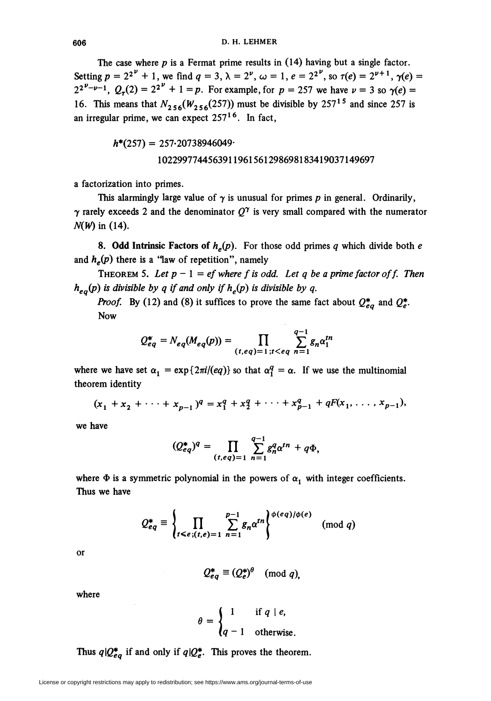The case where  $p$  is a Fermat prime results in  $(14)$  having but a single factor. Setting  $p = 2^{2^{\nu}} + 1$ , we find  $q = 3$ ,  $\lambda = 2^{\nu}$ ,  $\omega = 1$ ,  $e = 2^{2^{\nu}}$ , so  $\tau(e) = 2^{\nu+1}$ ,  $\gamma(e) =$  $2^{2^{\nu}-\nu-1}$ ,  $Q_{\tau}(2) = 2^{2^{\nu}} + 1 = p$ . For example, for  $p = 257$  we have  $\nu = 3$  so  $\gamma(e) =$ 16. This means that  $N_{2.56}(W_{2.56}(257))$  must be divisible by 257<sup>15</sup> and since 257 is an irregular prime, we can expect  $257<sup>16</sup>$ . In fact,

$$
h^*(257) = 257.20738946049
$$
  
1022997744563911961561298698183419037149697

a factorization into primes.

This alarmingly large value of  $\gamma$  is unusual for primes p in general. Ordinarily,  $\gamma$  rarely exceeds 2 and the denominator  $Q^{\gamma}$  is very small compared with the numerator  $N(W)$  in (14).

8. Odd Intrinsic Factors of  $h_e(p)$ . For those odd primes q which divide both e and  $h_e(p)$  there is a "law of repetition", namely

THEOREM 5. Let  $p - 1 = ef$  where f is odd. Let q be a prime factor of f. Then  $h_{ea}(p)$  is divisible by q if and only if  $h_{e}(p)$  is divisible by q.

**Proof.** By (12) and (8) it suffices to prove the same fact about  $Q_{eq}^*$  and  $Q_e^*$ . Now

$$
Q_{eq}^* = N_{eq}(M_{eq}(p)) = \prod_{(t,eq)=1; t < eq} \sum_{n=1}^{q-1} g_n \alpha_1^n
$$

where we have set  $\alpha_1 = \exp\{2\pi i/(eq)\}\$  so that  $\alpha_1^q = \alpha$ . If we use the multinomial theorem identity

$$
(x_1 + x_2 + \cdots + x_{p-1})^q = x_1^q + x_2^q + \cdots + x_{p-1}^q + qF(x_1, \ldots, x_{p-1}),
$$

we have

$$
(Q_{eq}^*)^q = \prod_{(t,eq)=1} \sum_{n=1}^{q-1} g_n^q \alpha^{tn} + q \Phi,
$$

where  $\Phi$  is a symmetric polynomial in the powers of  $\alpha_1$  with integer coefficients. Thus we have

$$
Q_{eq}^* \equiv \left\{ \prod_{t \leq e, (t,e)=1} \sum_{n=1}^{p-1} g_n \alpha^{tn} \right\}^{\phi(eq)/\phi(e)} \pmod{q}
$$

or

$$
Q_{eq}^* \equiv (Q_e^*)^{\theta} \pmod{q},
$$

where

$$
\theta = \begin{cases} 1 & \text{if } q \mid e, \\ q - 1 & \text{otherwise.} \end{cases}
$$

Thus  $q\vert Q^*_{eq}$  if and only if  $q\vert Q^*_{e}$ . This proves the theorem.